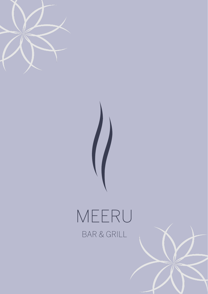



# MEERU BAR & GRILL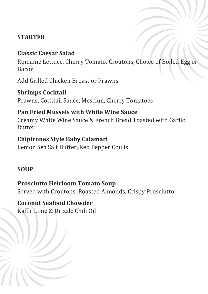## **STARTER**

## **Classic Caesar Salad**

Romaine Lettuce, Cherry Tomato, Croutons, Choice of Boiled Egg or Bacon

Add Grilled Chicken Breast or Prawns

**Shrimps Cocktail** Prawns, Cocktail Sauce, Mesclun, Cherry Tomatoes

# **Pan Fried Mussels with White Wine Sauce**

Creamy White Wine Sauce & French Bread Toasted with Garlic Butter

## **Chipirones Style Baby Calamari**

Lemon Sea Salt Butter, Red Pepper Coulis

## **SOUP**

# **Prosciutto Heirloom Tomato Soup**

Served with Croutons, Roasted Almonds, Crispy Prosciutto

**Coconut Seafood Chowder** Kaffir Lime & Drizzle Chili Oil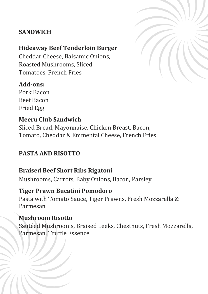## **SANDWICH**

#### **Hideaway Beef Tenderloin Burger**

Cheddar Cheese, Balsamic Onions, Roasted Mushrooms, Sliced Tomatoes, French Fries

## **Add-ons:**

Pork Bacon Beef Bacon Fried Egg

#### **Meeru Club Sandwich**

Sliced Bread, Mayonnaise, Chicken Breast, Bacon, Tomato, Cheddar & Emmental Cheese, French Fries

## **PASTA AND RISOTTO**

## **Braised Beef Short Ribs Rigatoni**

Mushrooms, Carrots, Baby Onions, Bacon, Parsley

## **Tiger Prawn Bucatini Pomodoro**

Pasta with Tomato Sauce, Tiger Prawns, Fresh Mozzarella & Parmesan

## **Mushroom Risotto**

Sautéed Mushrooms, Braised Leeks, Chestnuts, Fresh Mozzarella, Parmesan, Truffle Essence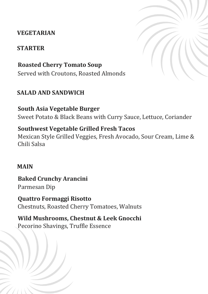### **VEGETARIAN**

#### **STARTER**

**Roasted Cherry Tomato Soup** Served with Croutons, Roasted Almonds

## **SALAD AND SANDWICH**

## **South Asia Vegetable Burger**

Sweet Potato & Black Beans with Curry Sauce, Lettuce, Coriander

## **Southwest Vegetable Grilled Fresh Tacos**

Mexican Style Grilled Veggies, Fresh Avocado, Sour Cream, Lime & Chili Salsa

#### **MAIN**

**Baked Crunchy Arancini** Parmesan Dip

**Quattro Formaggi Risotto** Chestnuts, Roasted Cherry Tomatoes, Walnuts

**Wild Mushrooms, Chestnut & Leek Gnocchi** Pecorino Shavings, Truffle Essence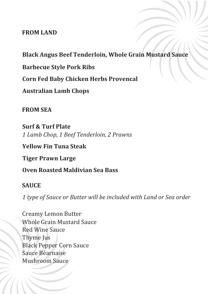#### **FROM LAND**

## **Black Angus Beef Tenderloin, Whole Grain Mustard Sauce**

**Barbecue Style Pork Ribs**

**Corn Fed Baby Chicken Herbs Provencal**

**Australian Lamb Chops**

**FROM SEA**

**Surf & Turf Plate** *1 Lamb Chop, 1 Beef Tenderloin, 2 Prawns*

**Yellow Fin Tuna Steak**

**Tiger Prawn Large**

**Oven Roasted Maldivian Sea Bass**

#### **SAUCE**

*1 type of Sauce or Butter will be included with Land or Sea order*

Creamy Lemon Butter Whole Grain Mustard Sauce Red Wine Sauce Thyme Jus Black Pepper Corn Sauce Sauce Béarnaise Mushroom Sauce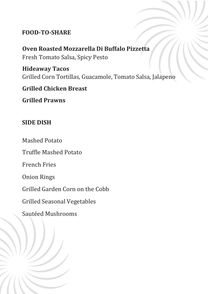## **FOOD-TO-SHARE**

**Oven Roasted Mozzarella Di Buffalo Pizzetta** Fresh Tomato Salsa, Spicy Pesto

**Hideaway Tacos** Grilled Corn Tortillas, Guacamole, Tomato Salsa, Jalapeno

## **Grilled Chicken Breast**

**Grilled Prawns**

## **SIDE DISH**

Mashed Potato

Truffle Mashed Potato

French Fries

Onion Rings

Grilled Garden Corn on the Cobb

Grilled Seasonal Vegetables

Sautéed Mushrooms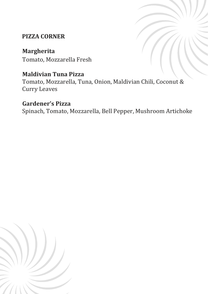# **PIZZA CORNER**

# **Margherita**

Tomato, Mozzarella Fresh

# **Maldivian Tuna Pizza**

Tomato, Mozzarella, Tuna, Onion, Maldivian Chili, Coconut & Curry Leaves

# **Gardener's Pizza**

Spinach, Tomato, Mozzarella, Bell Pepper, Mushroom Artichoke